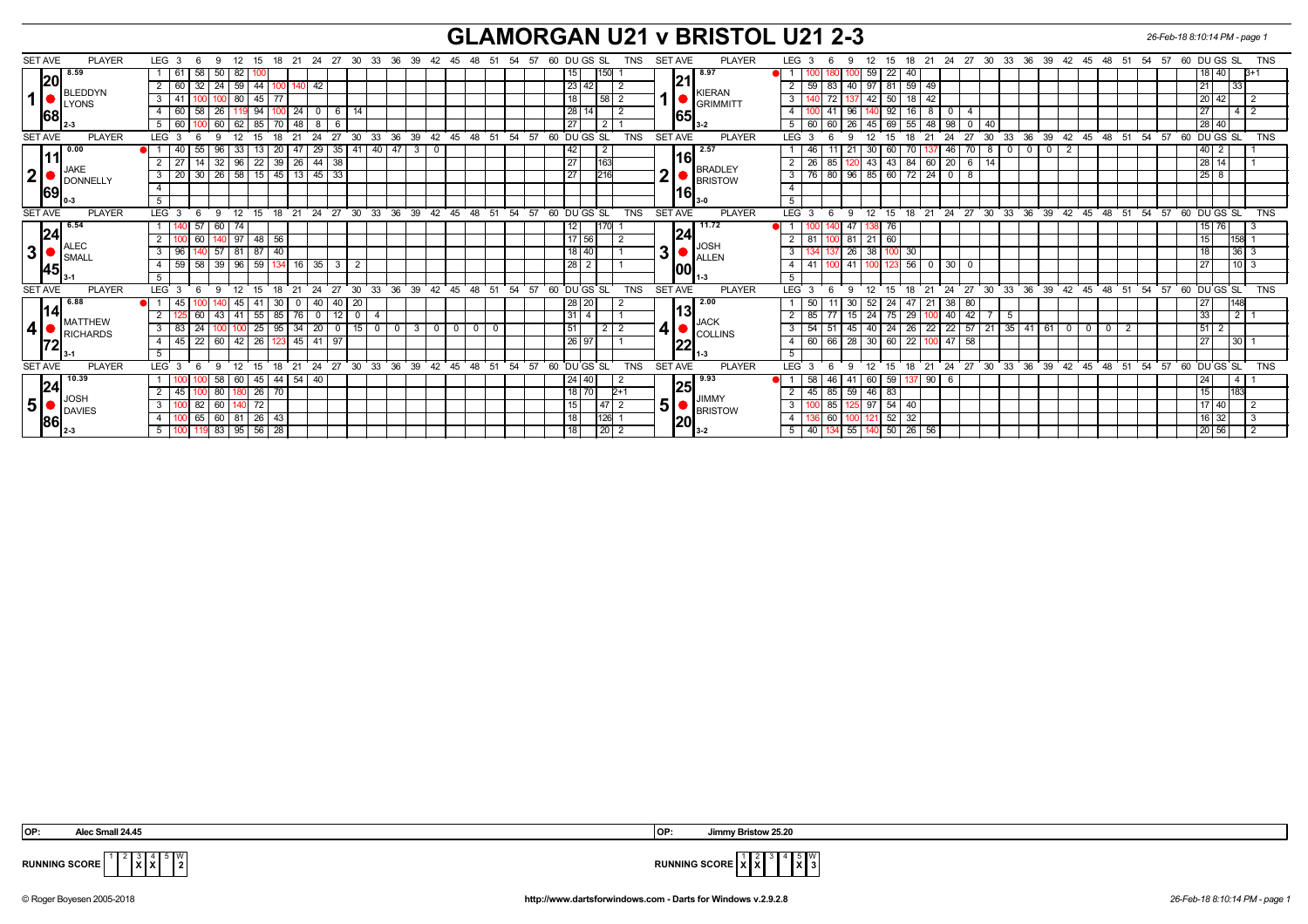## **GLAMORGAN U21 v BRISTOL U21 2-3** *26-Feb-18 8:10:14 PM - page 1*

| <b>SET AVE</b><br><b>PLAYER</b>                                                     | LEG 3<br>- 6<br>-9                                              | 12 15 18 21 24 27 30 33 36 39 42 45 48 51 54 57                                   | 60 DU GS SL<br>TNS                                                             | <b>PLAYER</b><br><b>SET AVE</b> | LEG <sub>3</sub><br>9<br>-6                           |                                      | 12  15  18  21  24  27  30  33  36  39  42  45  48  51  54  57  60  DU GS  SL<br><b>TNS</b> |
|-------------------------------------------------------------------------------------|-----------------------------------------------------------------|-----------------------------------------------------------------------------------|--------------------------------------------------------------------------------|---------------------------------|-------------------------------------------------------|--------------------------------------|---------------------------------------------------------------------------------------------|
| 8.59<br>120<br>BLEDDYN<br>1 <sup>1</sup><br><b>U</b> LYONS<br>68                    | 82<br>58<br>61<br>50                                            |                                                                                   | 150                                                                            |                                 | 59<br>22<br>40                                        |                                      | 18   40  <br>ß+′                                                                            |
|                                                                                     | 60<br>59<br>32   24<br>44<br>42                                 |                                                                                   | 23 42                                                                          | 21                              | 97   81   59   49<br>59<br>83<br>40                   |                                      | 21<br>33                                                                                    |
|                                                                                     | 80<br>41<br>45   77<br>3                                        |                                                                                   | 58 <br>18                                                                      | KIERAN                          | 50 <sub>1</sub><br>3<br> 42 <br>18<br>-42             |                                      | 20 42                                                                                       |
|                                                                                     | 60<br>58<br>26<br>94<br>24                                      | 14                                                                                | 28<br>14                                                                       | <b>GRIMMITT</b>                 | 4<br>96<br>-8                                         |                                      | 27 I<br>$\overline{\mathbf{4}}$                                                             |
|                                                                                     | $5 \ 60$<br>62<br>48<br>$\sqrt{0}$ 60 $\sqrt{0}$<br>85<br>8     |                                                                                   | 27<br>$\sqrt{2}$                                                               | <b>65</b>                       | 5<br>26<br>69<br>55<br>60 l<br>60<br>  45  <br>-48    | 98<br>$^{\circ}$<br>-40              | 28 40                                                                                       |
| <b>SET AVE</b><br><b>PLAYER</b>                                                     | 24<br>LEG <sup>3</sup><br>12 <sup>2</sup>                       | 27<br>33<br>36<br>39<br>30<br>42                                                  | DU GS SL<br>54<br><b>TNS</b><br>45<br>48<br>51<br>57<br>60                     | <b>SET AVE</b><br><b>PLAYER</b> | 12<br><b>LEG</b><br>21<br>۰Q                          | 27<br>33<br>36<br>24<br>30           | 60 DUGS SL<br>39<br><b>TNS</b><br>42<br>45<br>51<br>54<br>57<br>48                          |
| 0.00<br>11                                                                          | 40<br>33<br>47<br>29<br>55<br>20                                | 3<br>35   41<br>40   47<br>0                                                      | $\overline{2}$<br>42                                                           | 2.57                            | -30<br>Дŀ                                             | 70<br>46<br>0<br>ిర                  | $40$   2                                                                                    |
|                                                                                     | 96<br>26<br>27<br>32<br>22<br>39<br>44                          | 38                                                                                | 27<br>163                                                                      |                                 | 2<br>26<br>43<br>43<br>84<br>60                       | 20<br>6<br>-14                       | 28 14                                                                                       |
| <b>JAKE</b><br> 2                                                                   | 30   26   58   15   45   13   45   33<br>20<br>3                |                                                                                   | 216<br>27                                                                      | BRADLEY<br>$\mathbf 2$          | $96 \mid 85 \mid 60 \mid 72 \mid 24$<br>80<br>3<br>76 | 8<br>$\mathbf{0}$                    | $25$   8                                                                                    |
| DONNELLY<br> 69                                                                     | $\overline{4}$                                                  |                                                                                   |                                                                                | <b>BRISTOW</b>                  |                                                       |                                      |                                                                                             |
|                                                                                     | 5                                                               |                                                                                   |                                                                                | l16l                            | 5                                                     |                                      |                                                                                             |
| <b>SET AVE</b><br><b>PLAYER</b>                                                     | 24<br>LEG <sub>3</sub><br>6<br>12<br>21<br>15<br>18<br><b>Q</b> | 27<br>30<br>$33^\circ$<br>36<br>39                                                | $42 \t 45 \t 48$<br>51<br>54<br>57<br>60 DU GS SL<br><b>TNS</b>                | <b>SET AVE</b><br><b>PLAYER</b> | <b>LEG</b><br>12<br>15<br>18<br>6<br>9                | 21 24 27 30<br>$33 \quad 36$         | 39 42 45 48<br>51 54 57<br>60 DU GS SL<br><b>TNS</b>                                        |
| 6.54<br> 24<br>$\blacksquare$ ALEC<br>3 <sup>1</sup><br>$\blacksquare$ SMALI<br> 45 | 57<br>60<br>74                                                  |                                                                                   | 12                                                                             | 11.72                           | 76                                                    |                                      | $15$ 76                                                                                     |
|                                                                                     | $140$ 97<br>2<br>60<br>  48   56                                |                                                                                   | 17 56                                                                          | 24                              | 81<br>$21 \ 60$<br>81                                 |                                      | 158 1<br>15 I                                                                               |
|                                                                                     | 81<br>96<br>$\overline{57}$<br>87<br>l 40                       |                                                                                   | 18 40                                                                          | ∥JOS⊦<br>31                     | 26<br>38<br>30<br>3                                   |                                      | $36$ 3                                                                                      |
|                                                                                     | 59<br>96<br>58<br> 39 <br>59<br>16<br>4                         | 35<br>2                                                                           | $28$   2                                                                       | ALLEN                           | 56<br>$\overline{a}$<br>41<br>-41<br>- 0              | 30<br>0                              | $10$   3<br>27                                                                              |
|                                                                                     | 5                                                               |                                                                                   |                                                                                | 00                              | 5                                                     |                                      |                                                                                             |
| <b>SET AVE</b><br><b>PLAYER</b>                                                     | 24<br>LEG 3<br>-6<br>12<br>21<br>$\mathbf{q}$<br>15<br>18       | 27<br>30<br>33 36 39                                                              | 54<br>60 DUGS SL<br>$42$ 45 48 51<br>57<br><b>TNS</b>                          | <b>SET AVE</b><br><b>PLAYER</b> | LEG <sub>3</sub><br>12<br>15<br>18<br>9               |                                      | 21 24 27 30 33 36 39 42 45 48 51 54 57<br>60 DUGS SL<br><b>TNS</b>                          |
| 6.88                                                                                | 45<br>45<br>40<br>$\Omega$                                      | 20<br>40                                                                          | $28$ 20                                                                        | 2.00                            | 30<br>52<br>21<br>47                                  | 38<br>80                             | 27                                                                                          |
| 14                                                                                  | .55<br>76<br>60<br>41<br>85<br>43                               | 0                                                                                 | 31<br>$\overline{4}$                                                           | l13l                            | 85<br>24<br>75 I<br>29<br>15                          | 42<br>40                             | 33<br>$\overline{2}$                                                                        |
| MATTHEW<br>4 <sup>1</sup><br>RICHARDS                                               | 83<br>34<br>25<br>3<br>95<br>100                                | 15<br>$\overline{3}$<br>20<br>$\sqrt{0}$<br>$\mathbf 0$<br>$^{\circ}$<br>$\Omega$ | 51<br>$\overline{2}$<br>$\Omega$<br>$\overline{2}$<br>$^{\circ}$<br>$^{\circ}$ | <b>JACK</b><br>4∣●              | 26<br>54<br>45<br>40<br>24<br>22<br>3                 | 57<br>22<br>$21 \mid 35 \mid$<br>41  | $51$ 2<br>61<br>$^{\circ}$<br>$\mathbf{0}$<br>$^{\circ}$                                    |
|                                                                                     | 45<br>42<br>26<br>45<br>22<br>$\overline{4}$<br>  60<br>41      |                                                                                   | 26<br>97                                                                       | <b>COLLINS</b>                  | 28<br>66<br>60<br>22<br>60<br> 30 <br>$\overline{a}$  | 58<br>47                             | 27<br>30                                                                                    |
| 72                                                                                  | 5 <sup>5</sup>                                                  |                                                                                   |                                                                                | 22                              | 5                                                     |                                      |                                                                                             |
| <b>SET AVE</b><br><b>PLAYER</b>                                                     | 24<br>LEG<br>12 <sup>12</sup><br>21<br>18                       | $36 \quad 39$<br>27<br>30<br>$33^\circ$<br>42                                     | 60 DU GS SL<br>45 48<br>51<br>54<br>57<br><b>TNS</b>                           | <b>SET AVE</b><br><b>PLAYER</b> | 21<br><b>LEG</b><br>12<br>18<br>$\alpha$              | 33<br>36<br>24<br>27<br>$30^{\circ}$ | $39 \t 42 \t 45$<br>51<br>54<br>57<br>60 DU GS SL<br><b>TNS</b><br>48                       |
| 10.39<br> 24<br>$\blacksquare$ JOSH<br>5 <sup>1</sup><br>DAVIES<br>186              | 60<br>44<br>54<br>58<br>-40<br>45                               |                                                                                   | 24   40                                                                        |                                 | .60 <sup>1</sup><br>59<br>90<br>58<br>46              | $\circ$                              | 24<br>4                                                                                     |
|                                                                                     | $0 \vert 80$<br>$26$ 70<br>45<br>1801                           |                                                                                   | $18$ 70<br>2+1                                                                 | <b>125</b>                      | $59$   46  <br>85<br>83<br>45                         |                                      | 15 <sub>l</sub>                                                                             |
|                                                                                     | 3<br>60<br>72<br>82.                                            |                                                                                   | <b>47</b><br>15<br>$\overline{2}$                                              | JIMMY<br>5 <sup>1</sup>         | $54$ 40<br>3<br>97<br>85                              |                                      | $17$ 40                                                                                     |
|                                                                                     | 65 60<br>81<br>$26 \mid 43$<br>4                                |                                                                                   | 126<br>18                                                                      | <b>BRISTOW</b>                  | 32<br>52<br>60<br>4                                   |                                      | $16$ 32                                                                                     |
|                                                                                     | 119 83 95 56 28<br>$5\vert$<br>100                              |                                                                                   | $\frac{1}{20}$ 2<br>18                                                         | 20 <br>$13-2$                   | 5<br>55<br>50 26 56<br>40<br>  140                    |                                      | 20 56                                                                                       |
|                                                                                     |                                                                 |                                                                                   |                                                                                |                                 |                                                       |                                      |                                                                                             |

**X X**  $\mathbb{I}^{\mathsf{w}}_2$ 

 **OP: Alec Small 24.45 OP: Jimmy Bristow 25.20**



**RUNNING SCORE**